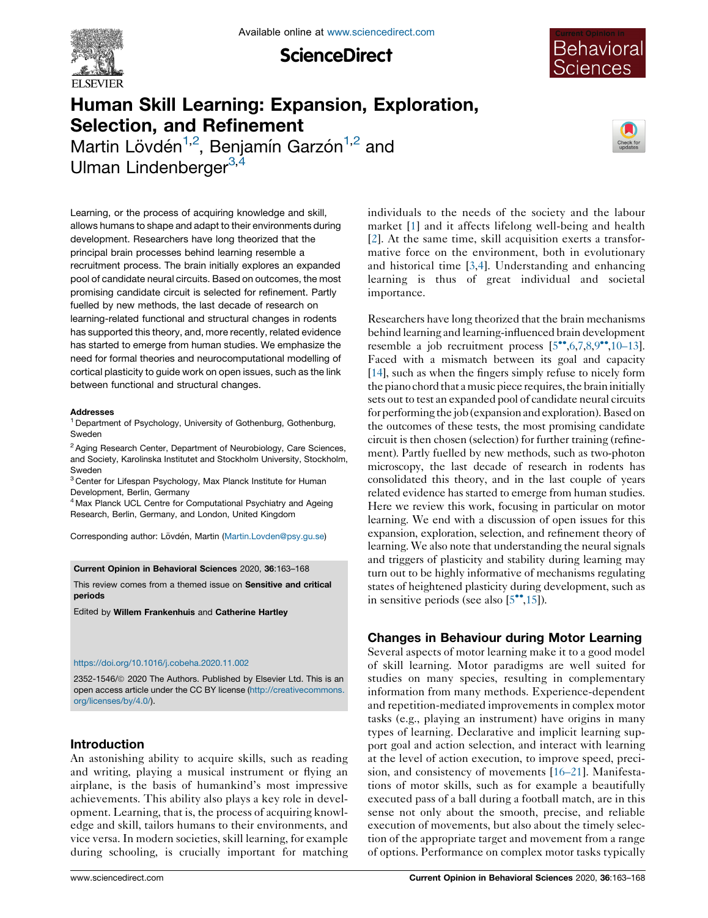

**ScienceDirect** 



# Human Skill Learning: Expansion, Exploration, Selection, and Refinement

Martin Lövdén<sup>1,2</sup>, Benjamín Garzón<sup>1,2</sup> and Ulman Lindenberger<sup>3,4</sup>



Learning, or the process of acquiring knowledge and skill, allows humans to shape and adapt to their environments during development. Researchers have long theorized that the principal brain processes behind learning resemble a recruitment process. The brain initially explores an expanded pool of candidate neural circuits. Based on outcomes, the most promising candidate circuit is selected for refinement. Partly fuelled by new methods, the last decade of research on learning-related functional and structural changes in rodents has supported this theory, and, more recently, related evidence has started to emerge from human studies. We emphasize the need for formal theories and neurocomputational modelling of cortical plasticity to guide work on open issues, such as the link between functional and structural changes.

#### Addresses

<sup>1</sup> Department of Psychology, University of Gothenburg, Gothenburg, **Sweder** 

<sup>2</sup> Aging Research Center, Department of Neurobiology, Care Sciences, and Society, Karolinska Institutet and Stockholm University, Stockholm, Sweden

<sup>3</sup> Center for Lifespan Psychology, Max Planck Institute for Human Development, Berlin, Germany

<sup>4</sup> Max Planck UCL Centre for Computational Psychiatry and Ageing Research, Berlin, Germany, and London, United Kingdom

Corresponding author: Lövdén, Martin [\(Martin.Lovden@psy.gu.se\)](mailto:Martin.Lovden@psy.gu.se)

Current Opinion in Behavioral Sciences 2020, 36:163–168

This review comes from a themed issue on Sensitive and critical periods

Edited by Willem Frankenhuis and Catherine Hartley

#### <https://doi.org/10.1016/j.cobeha.2020.11.002>

2352-1546/ã 2020 The Authors. Published by Elsevier Ltd. This is an open access article under the CC BY license [\(http://creativecommons.](http://creativecommons.org/licenses/by/4.0/) [org/licenses/by/4.0/](http://creativecommons.org/licenses/by/4.0/)).

## Introduction

An astonishing ability to acquire skills, such as reading and writing, playing a musical instrument or flying an airplane, is the basis of humankind's most impressive achievements. This ability also plays a key role in development. Learning, that is, the process of acquiring knowledge and skill, tailors humans to their environments, and vice versa. In modern societies, skill learning, for example during schooling, is crucially important for matching individuals to the needs of the society and the labour market [\[1](#page-4-0)] and it affects lifelong well-being and health [[2](#page-4-0)]. At the same time, skill acquisition exerts a transformative force on the environment, both in evolutionary and historical time [\[3](#page-4-0),[4\]](#page-4-0). Understanding and enhancing learning is thus of great individual and societal importance.

Researchers have long theorized that the brain mechanisms behind learning and learning-influenced brain development resemble a job recruitment process  $[5^{\bullet\bullet}, 6, 7, 8, 9^{\bullet\bullet}, 10-13]$ . Faced with a mismatch between its goal and capacity [\[14](#page-4-0)], such as when the fingers simply refuse to nicely form the piano chord that a music piece requires, the brain initially sets out to test an expanded pool of candidate neural circuits for performing the job (expansion andexploration).Basedon the outcomes of these tests, the most promising candidate circuit is then chosen (selection) for further training (refinement). Partly fuelled by new methods, such as two-photon microscopy, the last decade of research in rodents has consolidated this theory, and in the last couple of years related evidence has started to emerge from human studies. Here we review this work, focusing in particular on motor learning. We end with a discussion of open issues for this expansion, exploration, selection, and refinement theory of learning. We also note that understanding the neural signals and triggers of plasticity and stability during learning may turn out to be highly informative of mechanisms regulating states of heightened plasticity during development, such as in sensitive periods (see also  $[5^{\bullet\bullet},15]$  $[5^{\bullet\bullet},15]$ ).

# Changes in Behaviour during Motor Learning

Several aspects of motor learning make it to a good model of skill learning. Motor paradigms are well suited for studies on many species, resulting in complementary information from many methods. Experience-dependent and repetition-mediated improvements in complex motor tasks (e.g., playing an instrument) have origins in many types of learning. Declarative and implicit learning support goal and action selection, and interact with learning at the level of action execution, to improve speed, precision, and consistency of movements [[16–21\]](#page-4-0). Manifestations of motor skills, such as for example a beautifully executed pass of a ball during a football match, are in this sense not only about the smooth, precise, and reliable execution of movements, but also about the timely selection of the appropriate target and movement from a range of options. Performance on complex motor tasks typically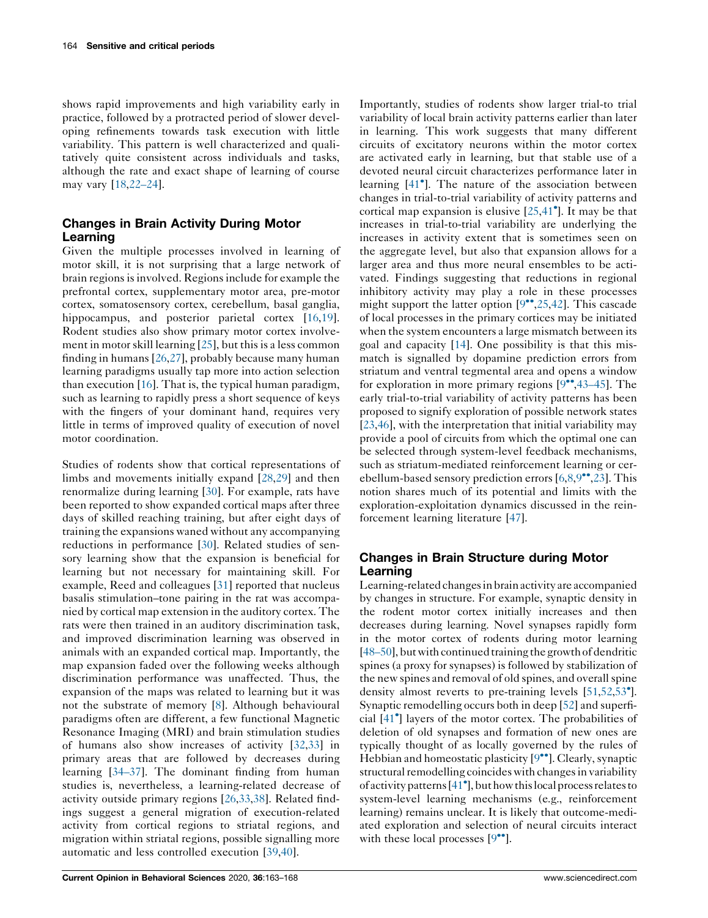shows rapid improvements and high variability early in practice, followed by a protracted period of slower developing refinements towards task execution with little variability. This pattern is well characterized and qualitatively quite consistent across individuals and tasks, although the rate and exact shape of learning of course may vary [\[18](#page-4-0),[22–24\]](#page-4-0).

# Changes in Brain Activity During Motor Learning

Given the multiple processes involved in learning of motor skill, it is not surprising that a large network of brain regions is involved. Regions include for example the prefrontal cortex, supplementary motor area, pre-motor cortex, somatosensory cortex, cerebellum, basal ganglia, hippocampus, and posterior parietal cortex [[16,19](#page-4-0)]. Rodent studies also show primary motor cortex involvement in motor skill learning  $[25]$  $[25]$ , but this is a less common finding in humans [\[26](#page-4-0),[27\]](#page-4-0), probably because many human learning paradigms usually tap more into action selection than execution [[16\]](#page-4-0). That is, the typical human paradigm, such as learning to rapidly press a short sequence of keys with the fingers of your dominant hand, requires very little in terms of improved quality of execution of novel motor coordination.

Studies of rodents show that cortical representations of limbs and movements initially expand [\[28](#page-4-0),[29\]](#page-4-0) and then renormalize during learning [\[30](#page-4-0)]. For example, rats have been reported to show expanded cortical maps after three days of skilled reaching training, but after eight days of training the expansions waned without any accompanying reductions in performance [\[30](#page-4-0)]. Related studies of sensory learning show that the expansion is beneficial for learning but not necessary for maintaining skill. For example, Reed and colleagues [[31\]](#page-4-0) reported that nucleus basalis stimulation–tone pairing in the rat was accompanied by cortical map extension in the auditory cortex. The rats were then trained in an auditory discrimination task, and improved discrimination learning was observed in animals with an expanded cortical map. Importantly, the map expansion faded over the following weeks although discrimination performance was unaffected. Thus, the expansion of the maps was related to learning but it was not the substrate of memory [[8\]](#page-4-0). Although behavioural paradigms often are different, a few functional Magnetic Resonance Imaging (MRI) and brain stimulation studies of humans also show increases of activity [\[32](#page-4-0),[33\]](#page-4-0) in primary areas that are followed by decreases during learning [\[34–37](#page-4-0)]. The dominant finding from human studies is, nevertheless, a learning-related decrease of activity outside primary regions [\[26](#page-4-0),[33,38](#page-4-0)]. Related findings suggest a general migration of execution-related activity from cortical regions to striatal regions, and migration within striatal regions, possible signalling more automatic and less controlled execution [[39,40](#page-4-0)].

Importantly, studies of rodents show larger trial-to trial variability of local brain activity patterns earlier than later in learning. This work suggests that many different circuits of excitatory neurons within the motor cortex are activated early in learning, but that stable use of a devoted neural circuit characterizes performance later in learning [41 ]. The nature of the [association](#page-4-0) between changes in trial-to-trial variability of activity patterns and cortical map expansion is elusive [[25,41](#page-4-0) ]. It may be that increases in trial-to-trial variability are underlying the increases in activity extent that is sometimes seen on the aggregate level, but also that expansion allows for a larger area and thus more neural ensembles to be activated. Findings suggesting that reductions in regional inhibitory activity may play a role in these processes might support the latter option  $[9\degree, 25, 42]$ . This cascade of local processes in the primary cortices may be initiated when the system encounters a large mismatch between its goal and capacity [\[14](#page-4-0)]. One possibility is that this mismatch is signalled by dopamine prediction errors from striatum and ventral tegmental area and opens a window for exploration in more primary regions  $[9\degree,43-45]$ . The early trial-to-trial variability of activity patterns has been proposed to signify exploration of possible network states [\[23](#page-4-0),[46\]](#page-5-0), with the interpretation that initial variability may provide a pool of circuits from which the optimal one can be selected through system-level feedback mechanisms, such as striatum-mediated reinforcement learning or cerebellum-based sensory prediction errors  $[6,8,9^{\bullet\bullet},23]$  $[6,8,9^{\bullet\bullet},23]$  $[6,8,9^{\bullet\bullet},23]$  $[6,8,9^{\bullet\bullet},23]$ . This notion shares much of its potential and limits with the exploration-exploitation dynamics discussed in the reinforcement learning literature [[47\]](#page-5-0).

# Changes in Brain Structure during Motor Learning

Learning-related changes in brain activity are accompanied by changes in structure. For example, synaptic density in the rodent motor cortex initially increases and then decreases during learning. Novel synapses rapidly form in the motor cortex of rodents during motor learning  $[48–50]$  $[48–50]$ , but with continued training the growth of dendritic spines (a proxy for synapses) is followed by stabilization of the new spines and removal of old spines, and overall spine density almost reverts to pre-training levels [[51,52,53](#page-5-0)<sup>°</sup>]. Synaptic remodelling occurs both in deep [\[52](#page-5-0)] and superficial [[41](#page-4-0) ] layers of the motor cortex. The probabilities of deletion of old synapses and formation of new ones are typically thought of as locally governed by the rules of Hebbian and homeostatic plasticity  $[9\bullet\bullet]$ . Clearly, synaptic structural remodelling coincides with changes in variability of activity patterns [\[41](#page-4-0) ], but how thislocal processrelates to system-level learning mechanisms (e.g., reinforcement learning) remains unclear. It is likely that outcome-mediated exploration and selection of neural circuits interact with these local processes  $[9\cdot$ <sup>o</sup>].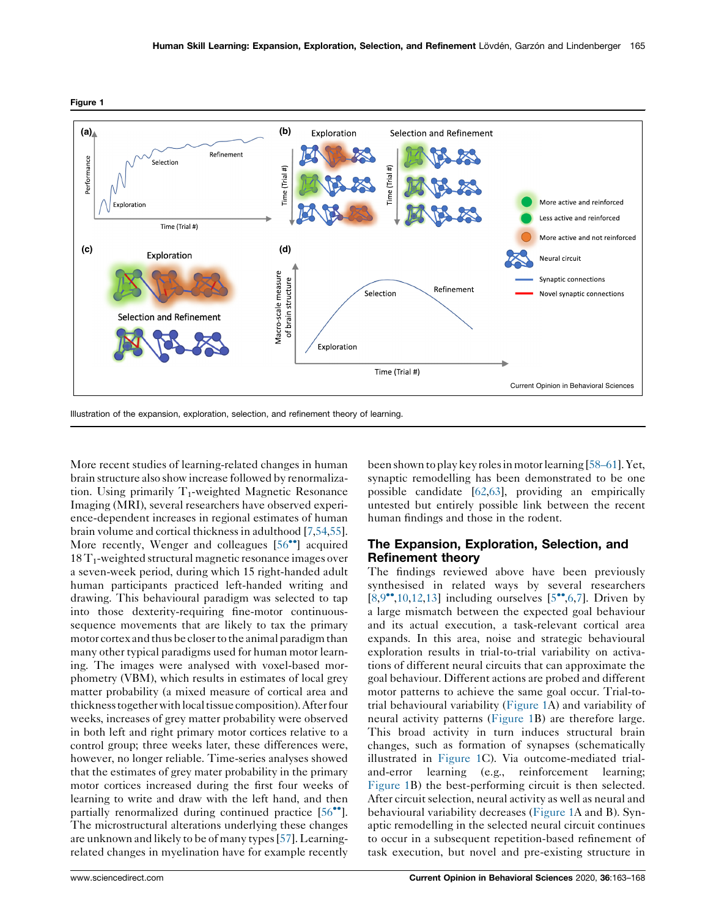

<span id="page-2-0"></span>

More recent studies of learning-related changes in human brain structure also show increase followed by renormalization. Using primarily  $T_1$ -weighted Magnetic Resonance Imaging (MRI), several researchers have observed experience-dependent increases in regional estimates of human brain volume and cortical thicknessin adulthood [[7](#page-4-0)[,54](#page-5-0),[55](#page-5-0)]. More recently, Wenger and colleagues [[56](#page-5-0)<sup>••</sup>] acquired  $18 T<sub>1</sub>$ -weighted structural magnetic resonance images over a seven-week period, during which 15 right-handed adult human participants practiced left-handed writing and drawing. This behavioural paradigm was selected to tap into those dexterity-requiring fine-motor continuoussequence movements that are likely to tax the primary motor cortex and thus be closer to the animal paradigm than many other typical paradigms used for human motor learning. The images were analysed with voxel-based morphometry (VBM), which results in estimates of local grey matter probability (a mixed measure of cortical area and thickness together withlocal tissue composition).After four weeks, increases of grey matter probability were observed in both left and right primary motor cortices relative to a control group; three weeks later, these differences were, however, no longer reliable. Time-series analyses showed that the estimates of grey mater probability in the primary motor cortices increased during the first four weeks of learning to write and draw with the left hand, and then partially renormalized during continued practice  $[56\text{''}].$  $[56\text{''}].$ The microstructural alterations underlying these changes are unknown and likely to be of many types[\[57](#page-5-0)]. Learningrelated changes in myelination have for example recently

been shown toplay key rolesin motorlearning [[58–61](#page-5-0)].Yet, synaptic remodelling has been demonstrated to be one possible candidate [\[62,63](#page-5-0)], providing an empirically untested but entirely possible link between the recent human findings and those in the rodent.

## The Expansion, Exploration, Selection, and Refinement theory

The findings reviewed above have been previously synthesised in related ways by several researchers  $[8,9$  $[8,9$  $[8,9$ <sup>\*</sup>,[10,12](#page-4-0),[13](#page-4-0)] including ourselves  $[5$ <sup>\*</sup>[,6](#page-4-0),[7\]](#page-4-0). Driven by a large mismatch between the expected goal behaviour and its actual execution, a task-relevant cortical area expands. In this area, noise and strategic behavioural exploration results in trial-to-trial variability on activations of different neural circuits that can approximate the goal behaviour. Different actions are probed and different motor patterns to achieve the same goal occur. Trial-totrial behavioural variability (Figure 1A) and variability of neural activity patterns (Figure 1B) are therefore large. This broad activity in turn induces structural brain changes, such as formation of synapses (schematically illustrated in Figure 1C). Via outcome-mediated trialand-error learning (e.g., reinforcement learning; Figure 1B) the best-performing circuit is then selected. After circuit selection, neural activity as well as neural and behavioural variability decreases (Figure 1A and B). Synaptic remodelling in the selected neural circuit continues to occur in a subsequent repetition-based refinement of task execution, but novel and pre-existing structure in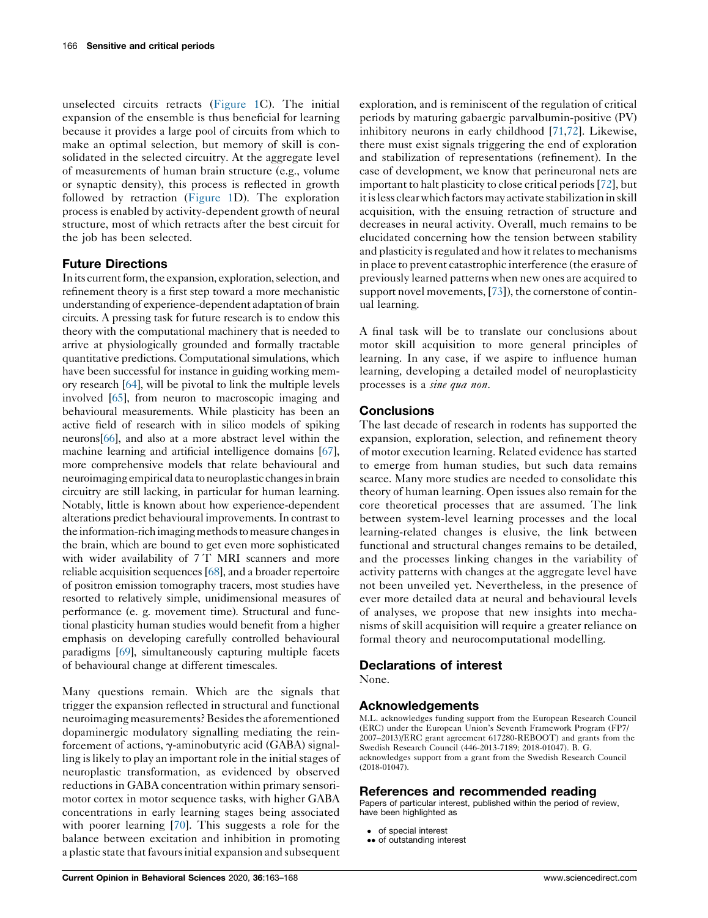unselected circuits retracts ([Figure](#page-2-0) 1C). The initial expansion of the ensemble is thus beneficial for learning because it provides a large pool of circuits from which to make an optimal selection, but memory of skill is consolidated in the selected circuitry. At the aggregate level of measurements of human brain structure (e.g., volume or synaptic density), this process is reflected in growth followed by retraction ([Figure](#page-2-0) 1D). The exploration process is enabled by activity-dependent growth of neural structure, most of which retracts after the best circuit for the job has been selected.

# Future Directions

In its current form, the expansion, exploration, selection, and refinement theory is a first step toward a more mechanistic understanding of experience-dependent adaptation of brain circuits. A pressing task for future research is to endow this theory with the computational machinery that is needed to arrive at physiologically grounded and formally tractable quantitative predictions. Computational simulations, which have been successful for instance in guiding working memory research [[64\]](#page-5-0), will be pivotal to link the multiple levels involved [\[65\]](#page-5-0), from neuron to macroscopic imaging and behavioural measurements. While plasticity has been an active field of research with in silico models of spiking neurons[[66](#page-5-0)], and also at a more abstract level within the machine learning and artificial intelligence domains [[67](#page-5-0)], more comprehensive models that relate behavioural and neuroimaging empirical data to neuroplastic changesin brain circuitry are still lacking, in particular for human learning. Notably, little is known about how experience-dependent alterations predict behavioural improvements.In contrast to the information-rich imaging methods to measure changes in the brain, which are bound to get even more sophisticated with wider availability of 7 T MRI scanners and more reliable acquisition sequences[\[68\]](#page-5-0), and a broader repertoire of positron emission tomography tracers, most studies have resorted to relatively simple, unidimensional measures of performance (e. g. movement time). Structural and functional plasticity human studies would benefit from a higher emphasis on developing carefully controlled behavioural paradigms [\[69\]](#page-5-0), simultaneously capturing multiple facets of behavioural change at different timescales.

Many questions remain. Which are the signals that trigger the expansion reflected in structural and functional neuroimaging measurements? Besides the aforementioned dopaminergic modulatory signalling mediating the reinforcement of actions,  $\gamma$ -aminobutyric acid (GABA) signalling is likely to play an important role in the initial stages of neuroplastic transformation, as evidenced by observed reductions in GABA concentration within primary sensorimotor cortex in motor sequence tasks, with higher GABA concentrations in early learning stages being associated with poorer learning [\[70](#page-5-0)]. This suggests a role for the balance between excitation and inhibition in promoting a plastic state that favours initial expansion and subsequent

exploration, and is reminiscent of the regulation of critical periods by maturing gabaergic parvalbumin-positive (PV) inhibitory neurons in early childhood [\[71](#page-5-0),[72](#page-5-0)]. Likewise, there must exist signals triggering the end of exploration and stabilization of representations (refinement). In the case of development, we know that perineuronal nets are important to halt plasticity to close critical periods[[72\]](#page-5-0), but it is less clear which factors may activate stabilization in skill acquisition, with the ensuing retraction of structure and decreases in neural activity. Overall, much remains to be elucidated concerning how the tension between stability and plasticity is regulated and how it relates to mechanisms in place to prevent catastrophic interference (the erasure of previously learned patterns when new ones are acquired to support novel movements, [\[73](#page-5-0)]), the cornerstone of continual learning.

A final task will be to translate our conclusions about motor skill acquisition to more general principles of learning. In any case, if we aspire to influence human learning, developing a detailed model of neuroplasticity processes is a sine qua non.

## **Conclusions**

The last decade of research in rodents has supported the expansion, exploration, selection, and refinement theory of motor execution learning. Related evidence has started to emerge from human studies, but such data remains scarce. Many more studies are needed to consolidate this theory of human learning. Open issues also remain for the core theoretical processes that are assumed. The link between system-level learning processes and the local learning-related changes is elusive, the link between functional and structural changes remains to be detailed, and the processes linking changes in the variability of activity patterns with changes at the aggregate level have not been unveiled yet. Nevertheless, in the presence of ever more detailed data at neural and behavioural levels of analyses, we propose that new insights into mechanisms of skill acquisition will require a greater reliance on formal theory and neurocomputational modelling.

## Declarations of interest

None.

# Acknowledgements

M.L. acknowledges funding support from the European Research Council (ERC) under the European Union's Seventh Framework Program (FP7/ 2007–2013)/ERC grant agreement 617280-REBOOT) and grants from the Swedish Research Council (446-2013-7189; 2018-01047). B. G. acknowledges support from a grant from the Swedish Research Council (2018-01047).

## References and recommended reading

Papers of particular interest, published within the period of review, have been highlighted as

- of special interest
- •• of outstanding interest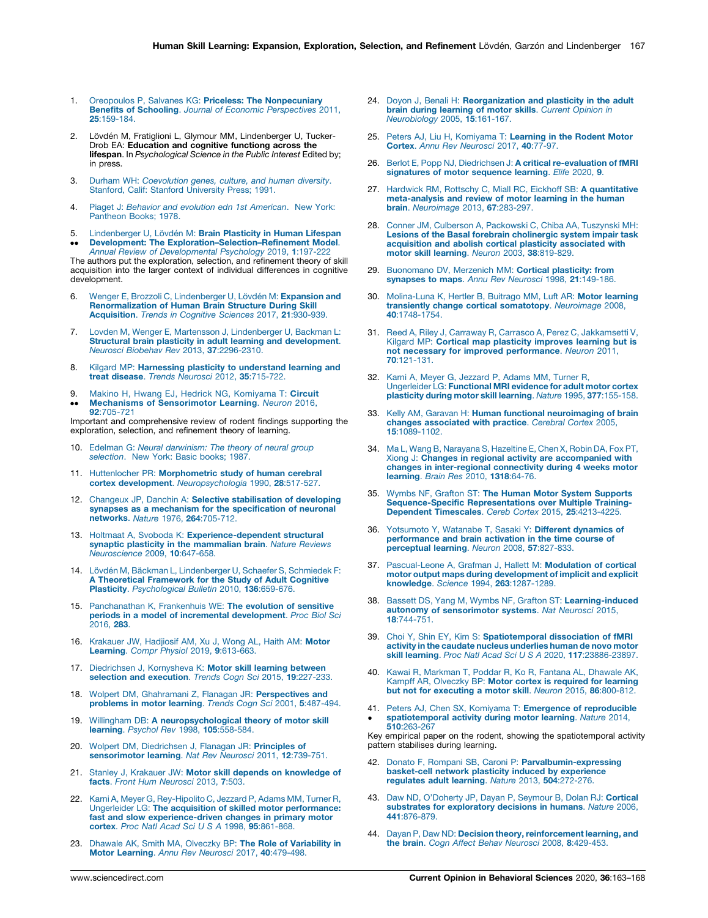- <span id="page-4-0"></span>1. Oreopoulos P, Salvanes KG: Priceless: The [Nonpecuniary](http://refhub.elsevier.com/S2352-1546(20)30161-3/sbref0005) Benefits of Schooling. Journal of Economic [Perspectives](http://refhub.elsevier.com/S2352-1546(20)30161-3/sbref0005) 2011, 25[:159-184.](http://refhub.elsevier.com/S2352-1546(20)30161-3/sbref0005)
- 2. Lövdén M, Fratiglioni L, Glymour MM, Lindenberger U, Tucker-Drob EA: Education and cognitive functiong across the lifespan. In Psychological Science in the Public Interest Edited by; in press.
- 3. Durham WH: [Coevolution](http://refhub.elsevier.com/S2352-1546(20)30161-3/sbref0015) genes, culture, and human diversity. Stanford, Calif: Stanford [University](http://refhub.elsevier.com/S2352-1546(20)30161-3/sbref0015) Press; 1991.
- 4. Piaget J: Behavior and evolution edn 1st [American](http://refhub.elsevier.com/S2352-1546(20)30161-3/sbref0020). New York: [Pantheon](http://refhub.elsevier.com/S2352-1546(20)30161-3/sbref0020) Books; 1978.
- 5.  $\ddot{\phantom{0}}$ [Lindenberger](http://refhub.elsevier.com/S2352-1546(20)30161-3/sbref0025) U, Lövdén M: **Brain Plasticity in Human Lifespan**<br><mark>Development: The [Exploration–Selection–Refinement](http://refhub.elsevier.com/S2352-1546(20)30161-3/sbref0025) Model</mark>. Annual Review of [Developmental](http://refhub.elsevier.com/S2352-1546(20)30161-3/sbref0025) Psychology 2019, 1:197-222

The authors put the exploration, selection, and refinement theory of skill acquisition into the larger context of individual differences in cognitive development.

- 6. Wenger E, Brozzoli C, [Lindenberger](http://refhub.elsevier.com/S2352-1546(20)30161-3/sbref0030) U, Lövdén M: Expansion and [Renormalization](http://refhub.elsevier.com/S2352-1546(20)30161-3/sbref0030) of Human Brain Structure During Skill [Acquisition](http://refhub.elsevier.com/S2352-1546(20)30161-3/sbref0030). Trends in Cognitive Sciences 2017, 21:930-939.
- 7. Lovden M, Wenger E, Martensson J, [Lindenberger](http://refhub.elsevier.com/S2352-1546(20)30161-3/sbref0035) U, Backman L: Structural brain plasticity in adult learning and [development](http://refhub.elsevier.com/S2352-1546(20)30161-3/sbref0035). Neurosci Biobehav Rev 2013, 37[:2296-2310.](http://refhub.elsevier.com/S2352-1546(20)30161-3/sbref0035)
- 8. Kilgard MP: Harnessing plasticity to [understand](http://refhub.elsevier.com/S2352-1546(20)30161-3/sbref0040) learning and treat disease. Trends Neurosci 2012, 35[:715-722.](http://refhub.elsevier.com/S2352-1546(20)30161-3/sbref0040)
- 9.  $\ddot{\phantom{0}}$ Makino H, Hwang EJ, Hedrick NG, [Komiyama](http://refhub.elsevier.com/S2352-1546(20)30161-3/sbref0045) T: Circuit Mechanisms of [Sensorimotor](http://refhub.elsevier.com/S2352-1546(20)30161-3/sbref0045) Learning. Neuron 2016, 92[:705-721](http://refhub.elsevier.com/S2352-1546(20)30161-3/sbref0045)

Important and comprehensive review of rodent findings supporting the exploration, selection, and refinement theory of learning.

- 10. Edelman G: Neural [darwinism:](https://doi.org/10.1016/j.cobeha.2020.11.002) The theory of neural group [selection](https://doi.org/10.1016/j.cobeha.2020.11.002). New York: Basic books; 1987.
- 11. Huttenlocher PR: [Morphometric](http://refhub.elsevier.com/S2352-1546(20)30161-3/sbref0055) study of human cerebral cortex development. [Neuropsychologia](http://refhub.elsevier.com/S2352-1546(20)30161-3/sbref0055) 1990, 28:517-527.
- 12. Changeux JP, Danchin A: Selective [stabilisation](http://refhub.elsevier.com/S2352-1546(20)30161-3/sbref0060) of developing synapses as a mechanism for the [specification](http://refhub.elsevier.com/S2352-1546(20)30161-3/sbref0060) of neuronal [networks](http://refhub.elsevier.com/S2352-1546(20)30161-3/sbref0060). Nature 1976, 264:705-712.
- 13. Holtmaat A, Svoboda K: [Experience-dependent](http://refhub.elsevier.com/S2352-1546(20)30161-3/sbref0065) structural synaptic plasticity in the [mammalian](http://refhub.elsevier.com/S2352-1546(20)30161-3/sbref0065) brain. Nature Reviews [Neuroscience](http://refhub.elsevier.com/S2352-1546(20)30161-3/sbref0065) 2009, 10:647-658.
- 14. Lövdén M, Bäckman L, [Lindenberger](http://refhub.elsevier.com/S2352-1546(20)30161-3/sbref0070) U, Schaefer S, Schmiedek F: A Theoretical [Framework](http://refhub.elsevier.com/S2352-1546(20)30161-3/sbref0070) for the Study of Adult Cognitive Plasticity. [Psychological](http://refhub.elsevier.com/S2352-1546(20)30161-3/sbref0070) Bulletin 2010, 136:659-676.
- 15. [Panchanathan](http://refhub.elsevier.com/S2352-1546(20)30161-3/sbref0075) K, Frankenhuis WE: The evolution of sensitive periods in a model of incremental [development](http://refhub.elsevier.com/S2352-1546(20)30161-3/sbref0075). Proc Biol Sci  $2016, 283$  $2016, 283$
- 16. [Krakauer](http://refhub.elsevier.com/S2352-1546(20)30161-3/sbref0080) JW, Hadjiosif AM, Xu J, Wong AL, Haith AM: Motor Learning. Compr Physiol 2019, 9[:613-663.](http://refhub.elsevier.com/S2352-1546(20)30161-3/sbref0080)
- 17. [Diedrichsen](http://refhub.elsevier.com/S2352-1546(20)30161-3/sbref0085) J, Kornysheva K: Motor skill learning between selection and [execution](http://refhub.elsevier.com/S2352-1546(20)30161-3/sbref0085). Trends Cogn Sci 2015, 19:227-233.
- 18. Wolpert DM, Ghahramani Z, Flanagan JR: [Perspectives](http://refhub.elsevier.com/S2352-1546(20)30161-3/sbref0090) and [problems](http://refhub.elsevier.com/S2352-1546(20)30161-3/sbref0090) in motor learning. Trends Cogn Sci 2001, 5:487-494.
- 19. Willingham DB: A [neuropsychological](http://refhub.elsevier.com/S2352-1546(20)30161-3/sbref0095) theory of motor skill learning. Psychol Rev 1998, 105[:558-584.](http://refhub.elsevier.com/S2352-1546(20)30161-3/sbref0095)
- 20. Wolpert DM, [Diedrichsen](http://refhub.elsevier.com/S2352-1546(20)30161-3/sbref0100) J, Flanagan JR: Principles of [sensorimotor](http://refhub.elsevier.com/S2352-1546(20)30161-3/sbref0100) learning. Nat Rev Neurosci 2011, 12:739-751.
- 21. Stanley J, Krakauer JW: Motor skill depends on [knowledge](http://refhub.elsevier.com/S2352-1546(20)30161-3/sbref0105) of facts. Front Hum [Neurosci](http://refhub.elsevier.com/S2352-1546(20)30161-3/sbref0105) 2013, 7:503.
- 22. Karni A, Meyer G, [Rey-Hipolito](http://refhub.elsevier.com/S2352-1546(20)30161-3/sbref0110) C, Jezzard P, Adams MM, Turner R, Ungerleider LG: The acquisition of skilled motor [performance:](http://refhub.elsevier.com/S2352-1546(20)30161-3/sbref0110) fast and slow [experience-driven](http://refhub.elsevier.com/S2352-1546(20)30161-3/sbref0110) changes in primary motor cortex. Proc Natl Acad Sci U S A 1998, 95[:861-868.](http://refhub.elsevier.com/S2352-1546(20)30161-3/sbref0110)
- 23. Dhawale AK, Smith MA, Olveczky BP: The Role of [Variability](http://refhub.elsevier.com/S2352-1546(20)30161-3/sbref0115) in Motor Learning. Annu Rev Neurosci 2017, 40[:479-498.](http://refhub.elsevier.com/S2352-1546(20)30161-3/sbref0115)
- 24. Doyon J, Benali H: [Reorganization](http://refhub.elsevier.com/S2352-1546(20)30161-3/sbref0120) and plasticity in the adult brain during [learning](http://refhub.elsevier.com/S2352-1546(20)30161-3/sbref0120) of motor skills. Current Opinion in [Neurobiology](http://refhub.elsevier.com/S2352-1546(20)30161-3/sbref0120) 2005, 15:161-167.
- 25. Peters AJ, Liu H, [Komiyama](http://refhub.elsevier.com/S2352-1546(20)30161-3/sbref0125) T: Learning in the Rodent Motor Cortex. Annu Rev [Neurosci](http://refhub.elsevier.com/S2352-1546(20)30161-3/sbref0125) 2017, 40:77-97.
- 26. Berlot E, Popp NJ, Diedrichsen J: A critical [re-evaluation](http://refhub.elsevier.com/S2352-1546(20)30161-3/sbref0130) of fMRI [signatures](http://refhub.elsevier.com/S2352-1546(20)30161-3/sbref0130) of motor sequence learning. Elife 2020, 9.
- 27. Hardwick RM, Rottschy C, Miall RC, Eickhoff SB: A [quantitative](http://refhub.elsevier.com/S2352-1546(20)30161-3/sbref0135) [meta-analysis](http://refhub.elsevier.com/S2352-1546(20)30161-3/sbref0135) and review of motor learning in the human brain. [Neuroimage](http://refhub.elsevier.com/S2352-1546(20)30161-3/sbref0135) 2013, 67:283-297.
- 28. Conner JM, Culberson A, [Packowski](http://refhub.elsevier.com/S2352-1546(20)30161-3/sbref0140) C, Chiba AA, Tuszynski MH: Lesions of the Basal forebrain [cholinergic](http://refhub.elsevier.com/S2352-1546(20)30161-3/sbref0140) system impair task acquisition and abolish cortical plasticity [associated](http://refhub.elsevier.com/S2352-1546(20)30161-3/sbref0140) with motor skill learning. Neuron 2003, 38[:819-829.](http://refhub.elsevier.com/S2352-1546(20)30161-3/sbref0140)
- 29. [Buonomano](http://refhub.elsevier.com/S2352-1546(20)30161-3/sbref0145) DV, Merzenich MM: Cortical plasticity: from [synapses](http://refhub.elsevier.com/S2352-1546(20)30161-3/sbref0145) to maps. Annu Rev Neurosci 1998, 21:149-186.
- 30. [Molina-Luna](http://refhub.elsevier.com/S2352-1546(20)30161-3/sbref0150) K, Hertler B, Buitrago MM, Luft AR: Motor learning transiently change cortical [somatotopy](http://refhub.elsevier.com/S2352-1546(20)30161-3/sbref0150). Neuroimage 2008,<br>40[:1748-1754.](http://refhub.elsevier.com/S2352-1546(20)30161-3/sbref0150)
- 31. Reed A, Riley J, Carraway R, Carrasco A, Perez C, [Jakkamsetti](http://refhub.elsevier.com/S2352-1546(20)30161-3/sbref0155) V, Kilgard MP: Cortical map plasticity [improves](http://refhub.elsevier.com/S2352-1546(20)30161-3/sbref0155) learning but is not necessary for improved [performance](http://refhub.elsevier.com/S2352-1546(20)30161-3/sbref0155). Neuron 2011, 70[:121-131.](http://refhub.elsevier.com/S2352-1546(20)30161-3/sbref0155)
- 32. Karni A, Meyer G, [Jezzard](http://refhub.elsevier.com/S2352-1546(20)30161-3/sbref0160) P, Adams MM, Turner R, [Ungerleider](http://refhub.elsevier.com/S2352-1546(20)30161-3/sbref0160) LG: Functional MRI evidence for adult motor cortex [plasticity](http://refhub.elsevier.com/S2352-1546(20)30161-3/sbref0160) during motor skill learning. Nature 1995, 377:155-158.
- 33. Kelly AM, Garavan H: Human functional [neuroimaging](http://refhub.elsevier.com/S2352-1546(20)30161-3/sbref0165) of brain changes [associated](http://refhub.elsevier.com/S2352-1546(20)30161-3/sbref0165) with practice. Cerebral Cortex 2005, 15[:1089-1102.](http://refhub.elsevier.com/S2352-1546(20)30161-3/sbref0165)
- 34. Ma L, Wang B, [Narayana](http://refhub.elsevier.com/S2352-1546(20)30161-3/sbref0170) S, Hazeltine E, Chen X, Robin DA, Fox PT, Xiong J: Changes in regional activity are [accompanied](http://refhub.elsevier.com/S2352-1546(20)30161-3/sbref0170) with changes in [inter-regional](http://refhub.elsevier.com/S2352-1546(20)30161-3/sbref0170) connectivity during 4 weeks motor [learning](http://refhub.elsevier.com/S2352-1546(20)30161-3/sbref0170). Brain Res 2010, 1318:64-76.
- 35. Wymbs NF, Grafton ST: The Human Motor System [Supports](http://refhub.elsevier.com/S2352-1546(20)30161-3/sbref0175) [Sequence-Specific](http://refhub.elsevier.com/S2352-1546(20)30161-3/sbref0175) Representations over Multiple Training-Dependent [Timescales](http://refhub.elsevier.com/S2352-1546(20)30161-3/sbref0175). Cereb Cortex 2015, 25:4213-4225.
- 36. [Yotsumoto](http://refhub.elsevier.com/S2352-1546(20)30161-3/sbref0180) Y, Watanabe T, Sasaki Y: Different dynamics of [performance](http://refhub.elsevier.com/S2352-1546(20)30161-3/sbref0180) and brain activation in the time course of [perceptual](http://refhub.elsevier.com/S2352-1546(20)30161-3/sbref0180) learning. Neuron 2008, 57:827-833.
- 37. [Pascual-Leone](http://refhub.elsevier.com/S2352-1546(20)30161-3/sbref0185) A, Grafman J, Hallett M: Modulation of cortical motor output maps during [development](http://refhub.elsevier.com/S2352-1546(20)30161-3/sbref0185) of implicit and explicit knowledge. Science 1994, 263[:1287-1289.](http://refhub.elsevier.com/S2352-1546(20)30161-3/sbref0185)
- 38. Bassett DS, Yang M, Wymbs NF, Grafton ST: [Learning-induced](http://refhub.elsevier.com/S2352-1546(20)30161-3/sbref0190) autonomy of [sensorimotor](http://refhub.elsevier.com/S2352-1546(20)30161-3/sbref0190) systems. Nat Neurosci 2015, 18[:744-751.](http://refhub.elsevier.com/S2352-1546(20)30161-3/sbref0190)
- 39. Choi Y, Shin EY, Kim S: [Spatiotemporal](http://refhub.elsevier.com/S2352-1546(20)30161-3/sbref0195) dissociation of fMRI activity in the caudate nucleus [underlies](http://refhub.elsevier.com/S2352-1546(20)30161-3/sbref0195) human de novo motor skill learning. Proc Natl Acad Sci U S A 2020, 117[:23886-23897.](http://refhub.elsevier.com/S2352-1546(20)30161-3/sbref0195)
- 40. Kawai R, [Markman](http://refhub.elsevier.com/S2352-1546(20)30161-3/sbref0200) T, Poddar R, Ko R, Fantana AL, Dhawale AK, Kampff AR, [Olveczky](http://refhub.elsevier.com/S2352-1546(20)30161-3/sbref0200) BP: Motor cortex is required for learning but not for [executing](http://refhub.elsevier.com/S2352-1546(20)30161-3/sbref0200) a motor skill. Neuron 2015, 86:800-812.
- 41. Peters AJ, Chen SX, Komiyama T: Emergence of [reproducible](http://refhub.elsevier.com/S2352-1546(20)30161-3/sbref0205)  $\cdot$ [spatiotemporal](http://refhub.elsevier.com/S2352-1546(20)30161-3/sbref0205) activity during motor learning. Nature 2014, 510[:263-267](http://refhub.elsevier.com/S2352-1546(20)30161-3/sbref0205)

Key empirical paper on the rodent, showing the spatiotemporal activity pattern stabilises during learning.

- 42. Donato F, Rompani SB, Caroni P: [Parvalbumin-expressing](http://refhub.elsevier.com/S2352-1546(20)30161-3/sbref0210) basket-cell network plasticity induced by [experience](http://refhub.elsevier.com/S2352-1546(20)30161-3/sbref0210) [regulates](http://refhub.elsevier.com/S2352-1546(20)30161-3/sbref0210) adult learning. Nature 2013, 504:272-276.
- 43. Daw ND, [O'Doherty](http://refhub.elsevier.com/S2352-1546(20)30161-3/sbref0215) JP, Dayan P, Seymour B, Dolan RJ: Cortical substrates for [exploratory](http://refhub.elsevier.com/S2352-1546(20)30161-3/sbref0215) decisions in humans. Nature 2006, 441[:876-879.](http://refhub.elsevier.com/S2352-1546(20)30161-3/sbref0215)
- 44. Dayan P, Daw ND: Decision theory, [reinforcement](http://refhub.elsevier.com/S2352-1546(20)30161-3/sbref0220) learning, and the brain. Cogn Affect Behav Neurosci 2008, 8[:429-453.](http://refhub.elsevier.com/S2352-1546(20)30161-3/sbref0220)